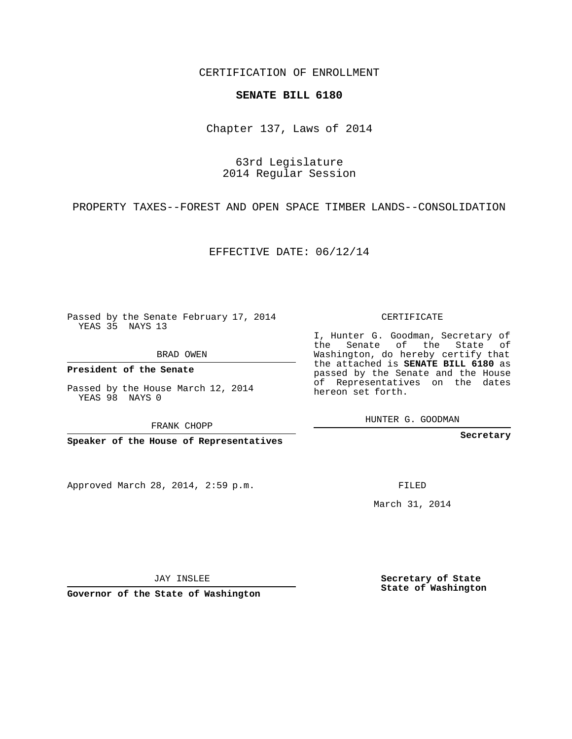CERTIFICATION OF ENROLLMENT

## **SENATE BILL 6180**

Chapter 137, Laws of 2014

63rd Legislature 2014 Regular Session

PROPERTY TAXES--FOREST AND OPEN SPACE TIMBER LANDS--CONSOLIDATION

EFFECTIVE DATE: 06/12/14

Passed by the Senate February 17, 2014 YEAS 35 NAYS 13

BRAD OWEN

**President of the Senate**

Passed by the House March 12, 2014 YEAS 98 NAYS 0

FRANK CHOPP

**Speaker of the House of Representatives**

Approved March 28, 2014, 2:59 p.m.

CERTIFICATE

I, Hunter G. Goodman, Secretary of the Senate of the State of Washington, do hereby certify that the attached is **SENATE BILL 6180** as passed by the Senate and the House of Representatives on the dates hereon set forth.

HUNTER G. GOODMAN

**Secretary**

FILED

March 31, 2014

**Secretary of State State of Washington**

JAY INSLEE

**Governor of the State of Washington**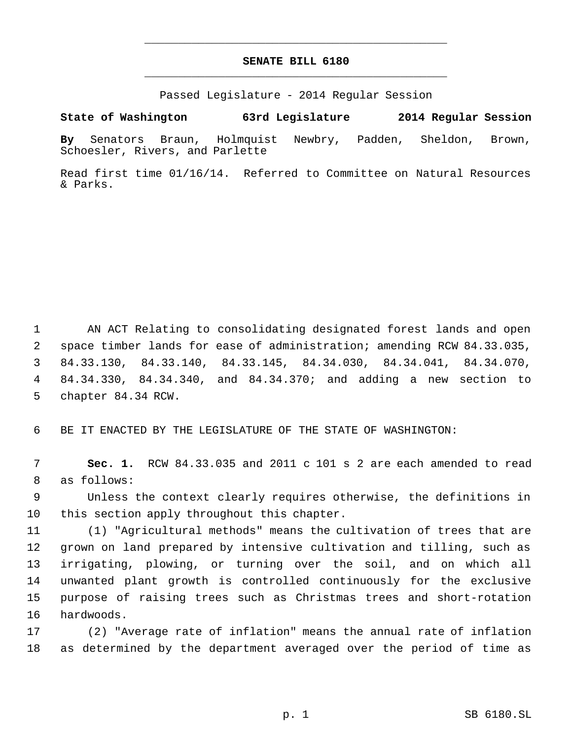## **SENATE BILL 6180** \_\_\_\_\_\_\_\_\_\_\_\_\_\_\_\_\_\_\_\_\_\_\_\_\_\_\_\_\_\_\_\_\_\_\_\_\_\_\_\_\_\_\_\_\_

\_\_\_\_\_\_\_\_\_\_\_\_\_\_\_\_\_\_\_\_\_\_\_\_\_\_\_\_\_\_\_\_\_\_\_\_\_\_\_\_\_\_\_\_\_

Passed Legislature - 2014 Regular Session

## **State of Washington 63rd Legislature 2014 Regular Session**

**By** Senators Braun, Holmquist Newbry, Padden, Sheldon, Brown, Schoesler, Rivers, and Parlette

Read first time 01/16/14. Referred to Committee on Natural Resources & Parks.

 AN ACT Relating to consolidating designated forest lands and open space timber lands for ease of administration; amending RCW 84.33.035, 84.33.130, 84.33.140, 84.33.145, 84.34.030, 84.34.041, 84.34.070, 84.34.330, 84.34.340, and 84.34.370; and adding a new section to chapter 84.34 RCW.

BE IT ENACTED BY THE LEGISLATURE OF THE STATE OF WASHINGTON:

 **Sec. 1.** RCW 84.33.035 and 2011 c 101 s 2 are each amended to read as follows:

 Unless the context clearly requires otherwise, the definitions in this section apply throughout this chapter.

 (1) "Agricultural methods" means the cultivation of trees that are grown on land prepared by intensive cultivation and tilling, such as irrigating, plowing, or turning over the soil, and on which all unwanted plant growth is controlled continuously for the exclusive purpose of raising trees such as Christmas trees and short-rotation hardwoods.

 (2) "Average rate of inflation" means the annual rate of inflation as determined by the department averaged over the period of time as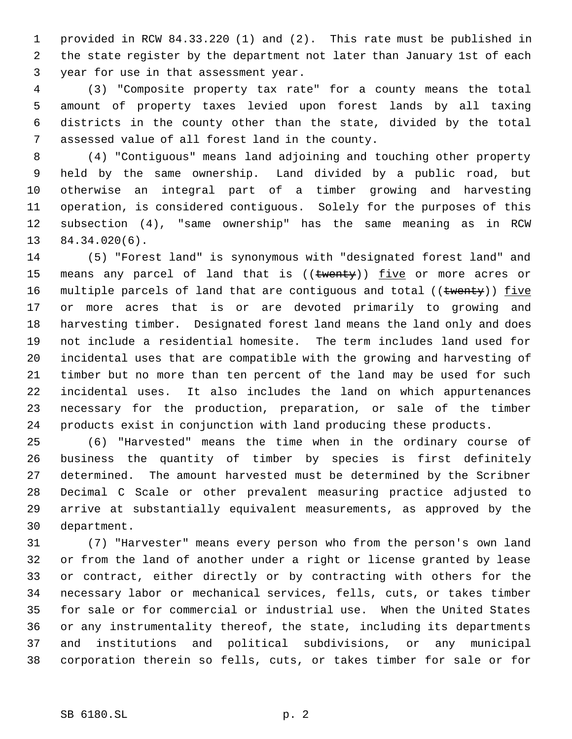provided in RCW 84.33.220 (1) and (2). This rate must be published in the state register by the department not later than January 1st of each year for use in that assessment year.

 (3) "Composite property tax rate" for a county means the total amount of property taxes levied upon forest lands by all taxing districts in the county other than the state, divided by the total assessed value of all forest land in the county.

 (4) "Contiguous" means land adjoining and touching other property held by the same ownership. Land divided by a public road, but otherwise an integral part of a timber growing and harvesting operation, is considered contiguous. Solely for the purposes of this subsection (4), "same ownership" has the same meaning as in RCW 84.34.020(6).

 (5) "Forest land" is synonymous with "designated forest land" and 15 means any parcel of land that is ((twenty)) five or more acres or 16 multiple parcels of land that are contiguous and total ((twenty)) five or more acres that is or are devoted primarily to growing and harvesting timber. Designated forest land means the land only and does not include a residential homesite. The term includes land used for incidental uses that are compatible with the growing and harvesting of timber but no more than ten percent of the land may be used for such incidental uses. It also includes the land on which appurtenances necessary for the production, preparation, or sale of the timber products exist in conjunction with land producing these products.

 (6) "Harvested" means the time when in the ordinary course of business the quantity of timber by species is first definitely determined. The amount harvested must be determined by the Scribner Decimal C Scale or other prevalent measuring practice adjusted to arrive at substantially equivalent measurements, as approved by the department.

 (7) "Harvester" means every person who from the person's own land or from the land of another under a right or license granted by lease or contract, either directly or by contracting with others for the necessary labor or mechanical services, fells, cuts, or takes timber for sale or for commercial or industrial use. When the United States or any instrumentality thereof, the state, including its departments and institutions and political subdivisions, or any municipal corporation therein so fells, cuts, or takes timber for sale or for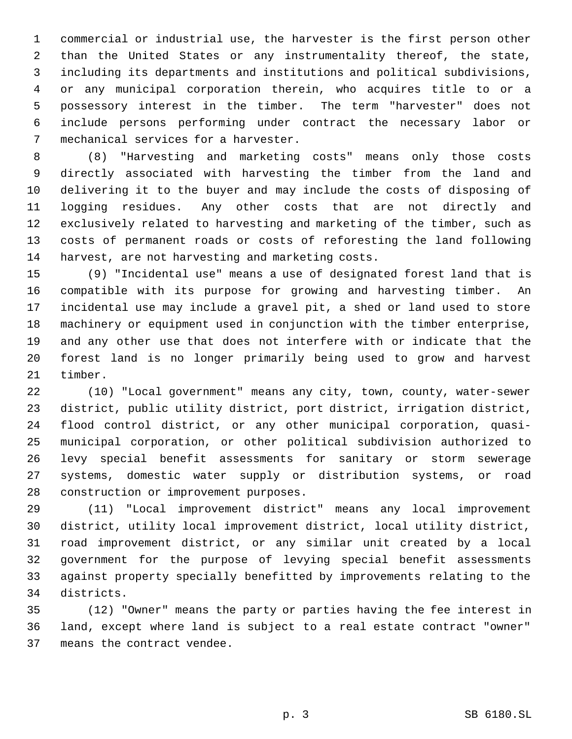commercial or industrial use, the harvester is the first person other than the United States or any instrumentality thereof, the state, including its departments and institutions and political subdivisions, or any municipal corporation therein, who acquires title to or a possessory interest in the timber. The term "harvester" does not include persons performing under contract the necessary labor or mechanical services for a harvester.

 (8) "Harvesting and marketing costs" means only those costs directly associated with harvesting the timber from the land and delivering it to the buyer and may include the costs of disposing of logging residues. Any other costs that are not directly and exclusively related to harvesting and marketing of the timber, such as costs of permanent roads or costs of reforesting the land following harvest, are not harvesting and marketing costs.

 (9) "Incidental use" means a use of designated forest land that is compatible with its purpose for growing and harvesting timber. An incidental use may include a gravel pit, a shed or land used to store machinery or equipment used in conjunction with the timber enterprise, and any other use that does not interfere with or indicate that the forest land is no longer primarily being used to grow and harvest timber.

 (10) "Local government" means any city, town, county, water-sewer district, public utility district, port district, irrigation district, flood control district, or any other municipal corporation, quasi- municipal corporation, or other political subdivision authorized to levy special benefit assessments for sanitary or storm sewerage systems, domestic water supply or distribution systems, or road construction or improvement purposes.

 (11) "Local improvement district" means any local improvement district, utility local improvement district, local utility district, road improvement district, or any similar unit created by a local government for the purpose of levying special benefit assessments against property specially benefitted by improvements relating to the districts.

 (12) "Owner" means the party or parties having the fee interest in land, except where land is subject to a real estate contract "owner" means the contract vendee.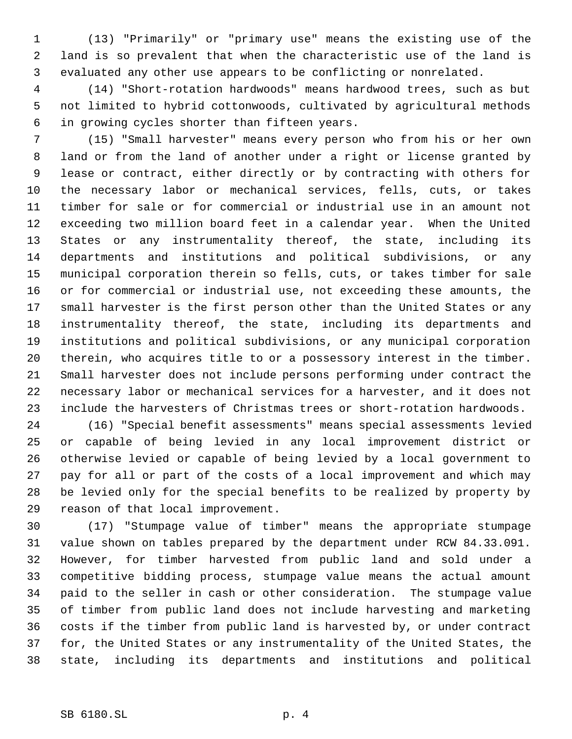(13) "Primarily" or "primary use" means the existing use of the land is so prevalent that when the characteristic use of the land is evaluated any other use appears to be conflicting or nonrelated.

 (14) "Short-rotation hardwoods" means hardwood trees, such as but not limited to hybrid cottonwoods, cultivated by agricultural methods in growing cycles shorter than fifteen years.

 (15) "Small harvester" means every person who from his or her own land or from the land of another under a right or license granted by lease or contract, either directly or by contracting with others for the necessary labor or mechanical services, fells, cuts, or takes timber for sale or for commercial or industrial use in an amount not exceeding two million board feet in a calendar year. When the United States or any instrumentality thereof, the state, including its departments and institutions and political subdivisions, or any municipal corporation therein so fells, cuts, or takes timber for sale or for commercial or industrial use, not exceeding these amounts, the small harvester is the first person other than the United States or any instrumentality thereof, the state, including its departments and institutions and political subdivisions, or any municipal corporation therein, who acquires title to or a possessory interest in the timber. Small harvester does not include persons performing under contract the necessary labor or mechanical services for a harvester, and it does not include the harvesters of Christmas trees or short-rotation hardwoods.

 (16) "Special benefit assessments" means special assessments levied or capable of being levied in any local improvement district or otherwise levied or capable of being levied by a local government to pay for all or part of the costs of a local improvement and which may be levied only for the special benefits to be realized by property by reason of that local improvement.

 (17) "Stumpage value of timber" means the appropriate stumpage value shown on tables prepared by the department under RCW 84.33.091. However, for timber harvested from public land and sold under a competitive bidding process, stumpage value means the actual amount paid to the seller in cash or other consideration. The stumpage value of timber from public land does not include harvesting and marketing costs if the timber from public land is harvested by, or under contract for, the United States or any instrumentality of the United States, the state, including its departments and institutions and political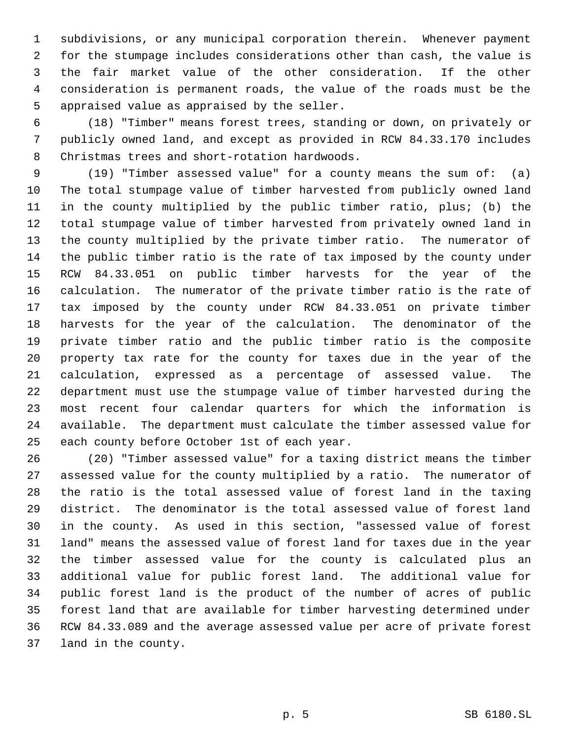subdivisions, or any municipal corporation therein. Whenever payment for the stumpage includes considerations other than cash, the value is the fair market value of the other consideration. If the other consideration is permanent roads, the value of the roads must be the appraised value as appraised by the seller.

 (18) "Timber" means forest trees, standing or down, on privately or publicly owned land, and except as provided in RCW 84.33.170 includes Christmas trees and short-rotation hardwoods.

 (19) "Timber assessed value" for a county means the sum of: (a) The total stumpage value of timber harvested from publicly owned land in the county multiplied by the public timber ratio, plus; (b) the total stumpage value of timber harvested from privately owned land in the county multiplied by the private timber ratio. The numerator of the public timber ratio is the rate of tax imposed by the county under RCW 84.33.051 on public timber harvests for the year of the calculation. The numerator of the private timber ratio is the rate of tax imposed by the county under RCW 84.33.051 on private timber harvests for the year of the calculation. The denominator of the private timber ratio and the public timber ratio is the composite property tax rate for the county for taxes due in the year of the calculation, expressed as a percentage of assessed value. The department must use the stumpage value of timber harvested during the most recent four calendar quarters for which the information is available. The department must calculate the timber assessed value for each county before October 1st of each year.

 (20) "Timber assessed value" for a taxing district means the timber assessed value for the county multiplied by a ratio. The numerator of the ratio is the total assessed value of forest land in the taxing district. The denominator is the total assessed value of forest land in the county. As used in this section, "assessed value of forest land" means the assessed value of forest land for taxes due in the year the timber assessed value for the county is calculated plus an additional value for public forest land. The additional value for public forest land is the product of the number of acres of public forest land that are available for timber harvesting determined under RCW 84.33.089 and the average assessed value per acre of private forest land in the county.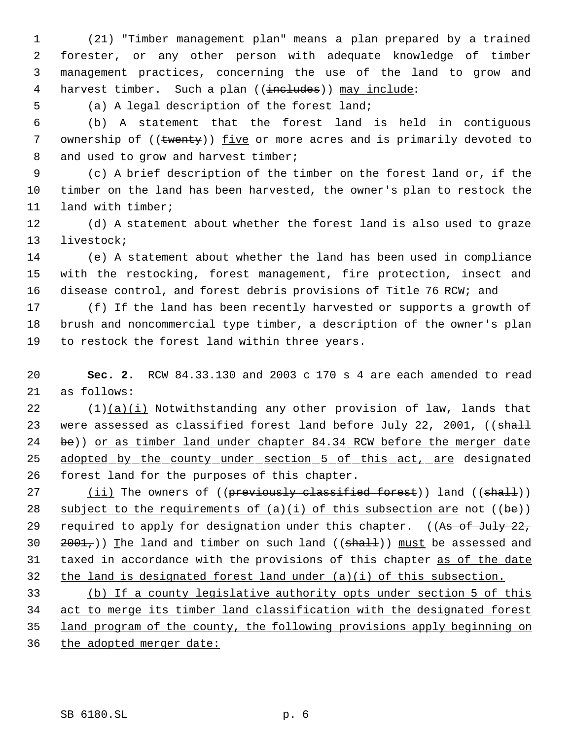(21) "Timber management plan" means a plan prepared by a trained forester, or any other person with adequate knowledge of timber management practices, concerning the use of the land to grow and 4 harvest timber. Such a plan ((includes)) may include:

(a) A legal description of the forest land;

 (b) A statement that the forest land is held in contiguous 7 ownership of ((twenty)) five or more acres and is primarily devoted to 8 and used to grow and harvest timber;

 (c) A brief description of the timber on the forest land or, if the timber on the land has been harvested, the owner's plan to restock the land with timber;

 (d) A statement about whether the forest land is also used to graze livestock;

 (e) A statement about whether the land has been used in compliance with the restocking, forest management, fire protection, insect and disease control, and forest debris provisions of Title 76 RCW; and

 (f) If the land has been recently harvested or supports a growth of brush and noncommercial type timber, a description of the owner's plan to restock the forest land within three years.

 **Sec. 2.** RCW 84.33.130 and 2003 c 170 s 4 are each amended to read as follows:

22  $(1)(a)(i)$  Notwithstanding any other provision of law, lands that 23 were assessed as classified forest land before July 22, 2001, ((shall be)) or as timber land under chapter 84.34 RCW before the merger date 25 adopted by the county under section 5 of this act, are designated forest land for the purposes of this chapter.

27 (ii) The owners of ((previously classified forest)) land ((shall)) 28 subject to the requirements of  $(a)(i)$  of this subsection are not  $((be))$ 29 required to apply for designation under this chapter. ((As of July 22, 30  $2001,$ ) The land and timber on such land (( $shall$ )) must be assessed and 31 taxed in accordance with the provisions of this chapter as of the date the land is designated forest land under (a)(i) of this subsection.

 (b) If a county legislative authority opts under section 5 of this act to merge its timber land classification with the designated forest land program of the county, the following provisions apply beginning on 36 the adopted merger date: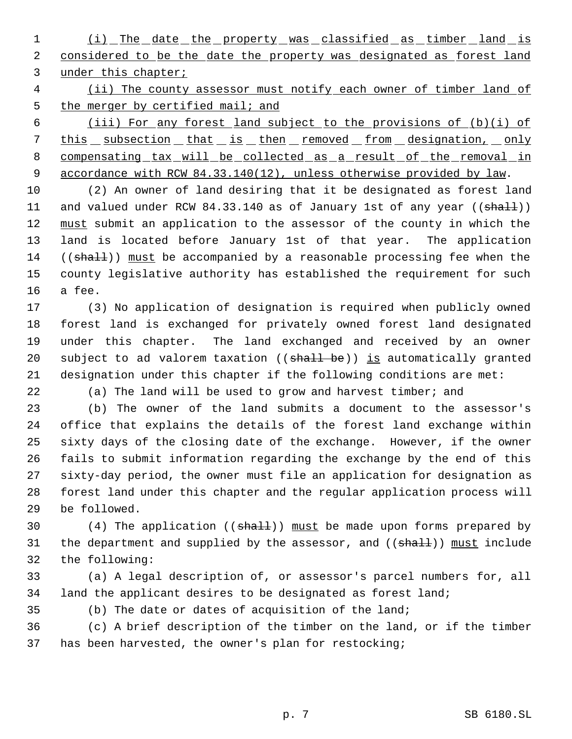(i) The date the property was classified as timber land is 2 considered to be the date the property was designated as forest land under this chapter;

4 (ii) The county assessor must notify each owner of timber land of 5 the merger by certified mail; and

 (iii) For any forest land subject to the provisions of (b)(i) of 7 this subsection that is then removed from designation, only compensating tax will be collected as a result of the removal in 9 accordance with RCW 84.33.140(12), unless otherwise provided by law.

 (2) An owner of land desiring that it be designated as forest land 11 and valued under RCW 84.33.140 as of January 1st of any year ((shall)) 12 must submit an application to the assessor of the county in which the land is located before January 1st of that year. The application 14 ((shall)) must be accompanied by a reasonable processing fee when the county legislative authority has established the requirement for such a fee.

 (3) No application of designation is required when publicly owned forest land is exchanged for privately owned forest land designated under this chapter. The land exchanged and received by an owner 20 subject to ad valorem taxation ((shall be)) is automatically granted designation under this chapter if the following conditions are met:

(a) The land will be used to grow and harvest timber; and

 (b) The owner of the land submits a document to the assessor's office that explains the details of the forest land exchange within sixty days of the closing date of the exchange. However, if the owner fails to submit information regarding the exchange by the end of this sixty-day period, the owner must file an application for designation as forest land under this chapter and the regular application process will be followed.

30  $(4)$  The application (( $sha11$ )) must be made upon forms prepared by 31 the department and supplied by the assessor, and ((shall)) must include the following:

 (a) A legal description of, or assessor's parcel numbers for, all land the applicant desires to be designated as forest land;

(b) The date or dates of acquisition of the land;

 (c) A brief description of the timber on the land, or if the timber has been harvested, the owner's plan for restocking;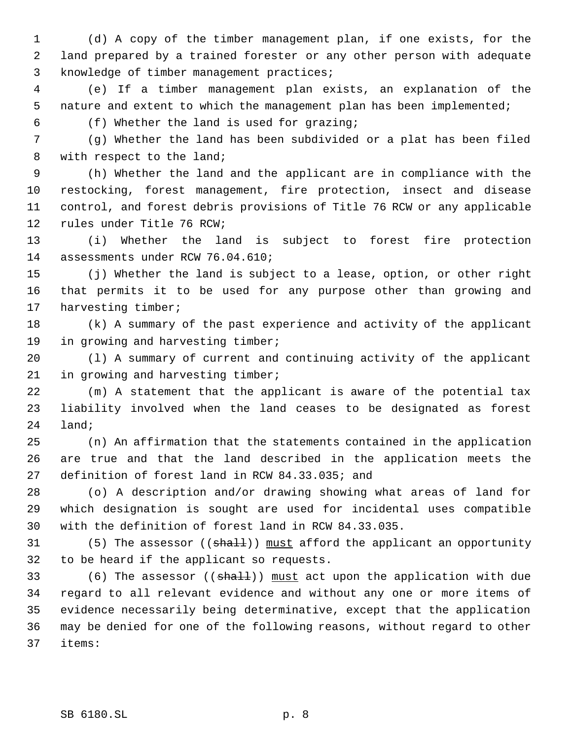(d) A copy of the timber management plan, if one exists, for the land prepared by a trained forester or any other person with adequate knowledge of timber management practices;

 (e) If a timber management plan exists, an explanation of the nature and extent to which the management plan has been implemented;

(f) Whether the land is used for grazing;

 (g) Whether the land has been subdivided or a plat has been filed with respect to the land;

 (h) Whether the land and the applicant are in compliance with the restocking, forest management, fire protection, insect and disease control, and forest debris provisions of Title 76 RCW or any applicable rules under Title 76 RCW;

 (i) Whether the land is subject to forest fire protection assessments under RCW 76.04.610;

 (j) Whether the land is subject to a lease, option, or other right that permits it to be used for any purpose other than growing and harvesting timber;

 (k) A summary of the past experience and activity of the applicant 19 in growing and harvesting timber;

 (l) A summary of current and continuing activity of the applicant in growing and harvesting timber;

 (m) A statement that the applicant is aware of the potential tax liability involved when the land ceases to be designated as forest land;

 (n) An affirmation that the statements contained in the application are true and that the land described in the application meets the definition of forest land in RCW 84.33.035; and

 (o) A description and/or drawing showing what areas of land for which designation is sought are used for incidental uses compatible with the definition of forest land in RCW 84.33.035.

31 (5) The assessor ((shall)) must afford the applicant an opportunity to be heard if the applicant so requests.

33 (6) The assessor ((shall)) must act upon the application with due regard to all relevant evidence and without any one or more items of evidence necessarily being determinative, except that the application may be denied for one of the following reasons, without regard to other items: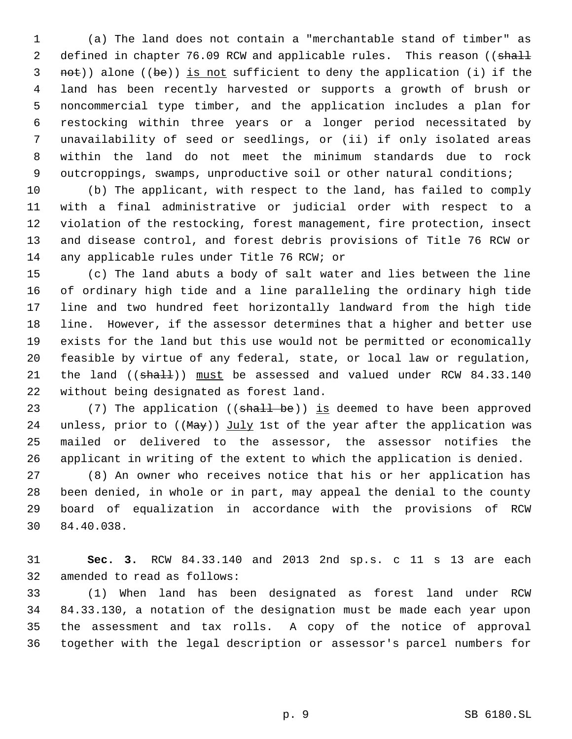(a) The land does not contain a "merchantable stand of timber" as 2 defined in chapter 76.09 RCW and applicable rules. This reason ((shall not)) alone ((be)) is not sufficient to deny the application (i) if the land has been recently harvested or supports a growth of brush or noncommercial type timber, and the application includes a plan for restocking within three years or a longer period necessitated by unavailability of seed or seedlings, or (ii) if only isolated areas within the land do not meet the minimum standards due to rock 9 outcroppings, swamps, unproductive soil or other natural conditions;

 (b) The applicant, with respect to the land, has failed to comply with a final administrative or judicial order with respect to a violation of the restocking, forest management, fire protection, insect and disease control, and forest debris provisions of Title 76 RCW or any applicable rules under Title 76 RCW; or

 (c) The land abuts a body of salt water and lies between the line of ordinary high tide and a line paralleling the ordinary high tide line and two hundred feet horizontally landward from the high tide line. However, if the assessor determines that a higher and better use exists for the land but this use would not be permitted or economically feasible by virtue of any federal, state, or local law or regulation, 21 the land ((shall)) must be assessed and valued under RCW 84.33.140 without being designated as forest land.

23 (7) The application ((shall be)) is deemed to have been approved 24 unless, prior to  $((\text{May}))$  July 1st of the year after the application was mailed or delivered to the assessor, the assessor notifies the applicant in writing of the extent to which the application is denied.

 (8) An owner who receives notice that his or her application has been denied, in whole or in part, may appeal the denial to the county board of equalization in accordance with the provisions of RCW 84.40.038.

 **Sec. 3.** RCW 84.33.140 and 2013 2nd sp.s. c 11 s 13 are each amended to read as follows:

 (1) When land has been designated as forest land under RCW 84.33.130, a notation of the designation must be made each year upon the assessment and tax rolls. A copy of the notice of approval together with the legal description or assessor's parcel numbers for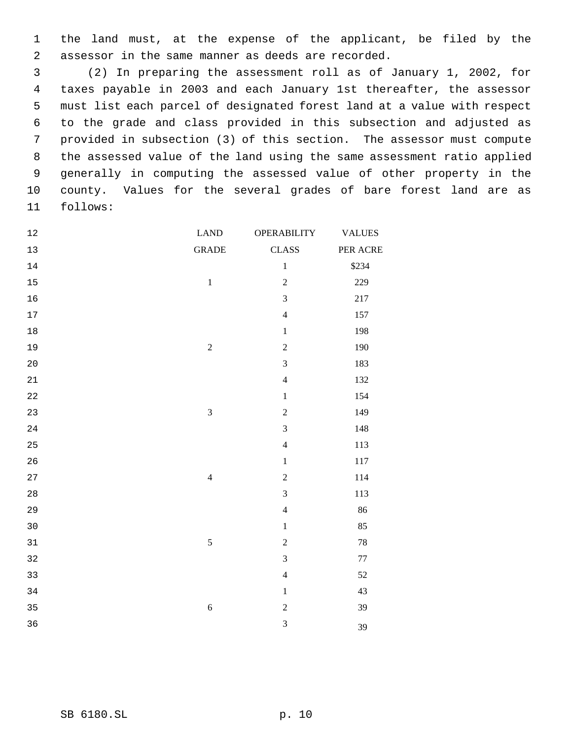the land must, at the expense of the applicant, be filed by the assessor in the same manner as deeds are recorded.

 (2) In preparing the assessment roll as of January 1, 2002, for taxes payable in 2003 and each January 1st thereafter, the assessor must list each parcel of designated forest land at a value with respect to the grade and class provided in this subsection and adjusted as provided in subsection (3) of this section. The assessor must compute the assessed value of the land using the same assessment ratio applied generally in computing the assessed value of other property in the county. Values for the several grades of bare forest land are as follows:

| <b>CLASS</b><br><b>GRADE</b><br>13<br>$\,1$<br>14<br>$\overline{c}$<br>$\,1\,$<br>15<br>$\overline{3}$<br>16<br>$\overline{4}$<br>17<br>$18$<br>$\,1$<br>$\overline{c}$<br>$\sqrt{2}$<br>19<br>3<br>20<br>$\overline{4}$<br>21<br>22<br>$\,1$<br>$\overline{c}$<br>$\overline{3}$<br>23<br>3<br>24<br>$\overline{4}$<br>25<br>26<br>$\,1$<br>$\overline{c}$<br>$\overline{4}$<br>27<br>$\overline{3}$<br>28<br>$\overline{4}$<br>29<br>30<br>$\,1$<br>$\overline{2}$<br>5<br>31<br>$\overline{3}$<br>32<br>$\overline{4}$<br>33<br>34<br>$\,1$<br>$\sqrt{6}$<br>$\overline{c}$<br>35 | <b>VALUES</b><br><b>OPERABILITY</b> |
|--------------------------------------------------------------------------------------------------------------------------------------------------------------------------------------------------------------------------------------------------------------------------------------------------------------------------------------------------------------------------------------------------------------------------------------------------------------------------------------------------------------------------------------------------------------------------------------|-------------------------------------|
|                                                                                                                                                                                                                                                                                                                                                                                                                                                                                                                                                                                      | PER ACRE                            |
|                                                                                                                                                                                                                                                                                                                                                                                                                                                                                                                                                                                      | \$234                               |
|                                                                                                                                                                                                                                                                                                                                                                                                                                                                                                                                                                                      | 229                                 |
|                                                                                                                                                                                                                                                                                                                                                                                                                                                                                                                                                                                      | 217                                 |
|                                                                                                                                                                                                                                                                                                                                                                                                                                                                                                                                                                                      | 157                                 |
|                                                                                                                                                                                                                                                                                                                                                                                                                                                                                                                                                                                      | 198                                 |
|                                                                                                                                                                                                                                                                                                                                                                                                                                                                                                                                                                                      | 190                                 |
|                                                                                                                                                                                                                                                                                                                                                                                                                                                                                                                                                                                      | 183                                 |
|                                                                                                                                                                                                                                                                                                                                                                                                                                                                                                                                                                                      | 132                                 |
|                                                                                                                                                                                                                                                                                                                                                                                                                                                                                                                                                                                      | 154                                 |
|                                                                                                                                                                                                                                                                                                                                                                                                                                                                                                                                                                                      | 149                                 |
|                                                                                                                                                                                                                                                                                                                                                                                                                                                                                                                                                                                      | 148                                 |
|                                                                                                                                                                                                                                                                                                                                                                                                                                                                                                                                                                                      | 113                                 |
|                                                                                                                                                                                                                                                                                                                                                                                                                                                                                                                                                                                      | $117\,$                             |
|                                                                                                                                                                                                                                                                                                                                                                                                                                                                                                                                                                                      | 114                                 |
|                                                                                                                                                                                                                                                                                                                                                                                                                                                                                                                                                                                      | 113                                 |
|                                                                                                                                                                                                                                                                                                                                                                                                                                                                                                                                                                                      | 86                                  |
|                                                                                                                                                                                                                                                                                                                                                                                                                                                                                                                                                                                      | 85                                  |
|                                                                                                                                                                                                                                                                                                                                                                                                                                                                                                                                                                                      | $78\,$                              |
|                                                                                                                                                                                                                                                                                                                                                                                                                                                                                                                                                                                      | $77\,$                              |
|                                                                                                                                                                                                                                                                                                                                                                                                                                                                                                                                                                                      | 52                                  |
|                                                                                                                                                                                                                                                                                                                                                                                                                                                                                                                                                                                      | 43                                  |
|                                                                                                                                                                                                                                                                                                                                                                                                                                                                                                                                                                                      | 39                                  |
| 3<br>36                                                                                                                                                                                                                                                                                                                                                                                                                                                                                                                                                                              | 39                                  |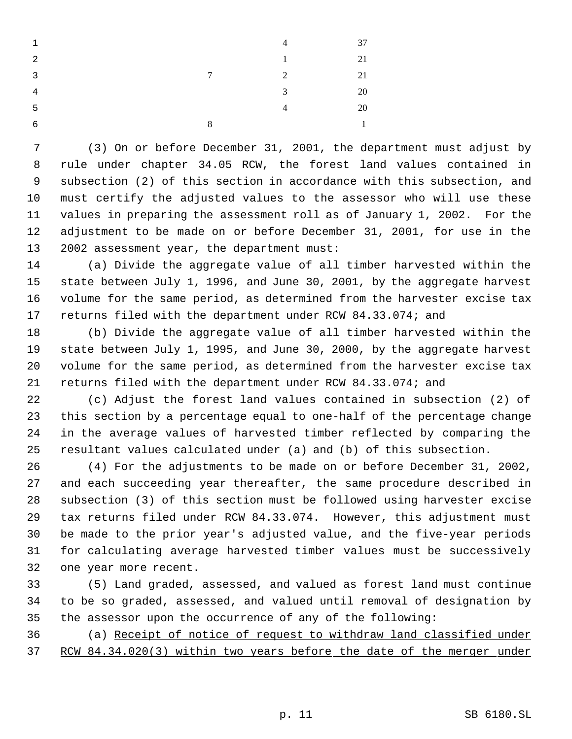| $\mathbf{1}$   |   | $\overline{4}$ | 37           |
|----------------|---|----------------|--------------|
| $\overline{2}$ |   | 1              | 21           |
| $\overline{3}$ | 7 | 2              | 21           |
| 4              |   | 3              | 20           |
| 5              |   | $\overline{4}$ | 20           |
| 6              | 8 |                | $\mathbf{1}$ |

 (3) On or before December 31, 2001, the department must adjust by rule under chapter 34.05 RCW, the forest land values contained in subsection (2) of this section in accordance with this subsection, and must certify the adjusted values to the assessor who will use these values in preparing the assessment roll as of January 1, 2002. For the adjustment to be made on or before December 31, 2001, for use in the 2002 assessment year, the department must:

 (a) Divide the aggregate value of all timber harvested within the state between July 1, 1996, and June 30, 2001, by the aggregate harvest volume for the same period, as determined from the harvester excise tax returns filed with the department under RCW 84.33.074; and

 (b) Divide the aggregate value of all timber harvested within the state between July 1, 1995, and June 30, 2000, by the aggregate harvest volume for the same period, as determined from the harvester excise tax returns filed with the department under RCW 84.33.074; and

 (c) Adjust the forest land values contained in subsection (2) of this section by a percentage equal to one-half of the percentage change in the average values of harvested timber reflected by comparing the resultant values calculated under (a) and (b) of this subsection.

 (4) For the adjustments to be made on or before December 31, 2002, and each succeeding year thereafter, the same procedure described in subsection (3) of this section must be followed using harvester excise tax returns filed under RCW 84.33.074. However, this adjustment must be made to the prior year's adjusted value, and the five-year periods for calculating average harvested timber values must be successively one year more recent.

 (5) Land graded, assessed, and valued as forest land must continue to be so graded, assessed, and valued until removal of designation by the assessor upon the occurrence of any of the following:

 (a) Receipt of notice of request to withdraw land classified under RCW 84.34.020(3) within two years before the date of the merger under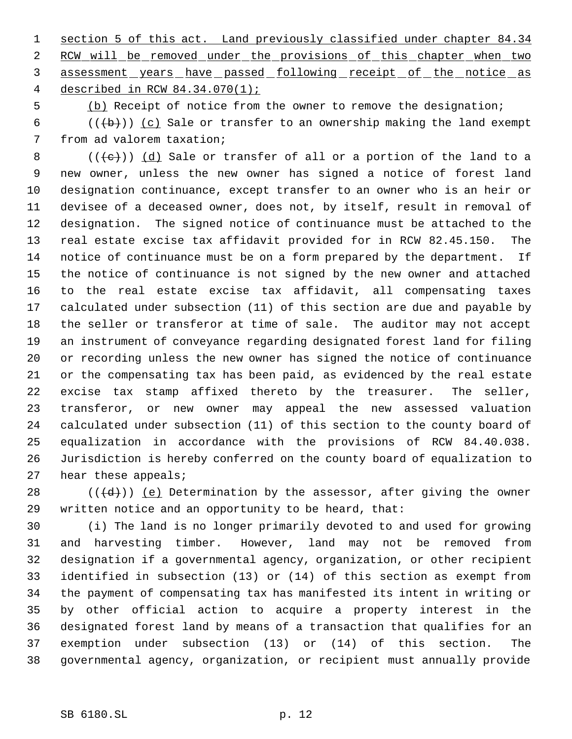1 section 5 of this act. Land previously classified under chapter 84.34 2 RCW will be removed under the provisions of this chapter when two 3 assessment years have passed following receipt of the notice as described in RCW 84.34.070(1);

(b) Receipt of notice from the owner to remove the designation;

6 ( $(\overline{\mathbf{b}})$ ) (c) Sale or transfer to an ownership making the land exempt from ad valorem taxation;

8 ( $(\{e\})$ ) (d) Sale or transfer of all or a portion of the land to a new owner, unless the new owner has signed a notice of forest land designation continuance, except transfer to an owner who is an heir or devisee of a deceased owner, does not, by itself, result in removal of designation. The signed notice of continuance must be attached to the real estate excise tax affidavit provided for in RCW 82.45.150. The notice of continuance must be on a form prepared by the department. If the notice of continuance is not signed by the new owner and attached to the real estate excise tax affidavit, all compensating taxes calculated under subsection (11) of this section are due and payable by the seller or transferor at time of sale. The auditor may not accept an instrument of conveyance regarding designated forest land for filing or recording unless the new owner has signed the notice of continuance or the compensating tax has been paid, as evidenced by the real estate excise tax stamp affixed thereto by the treasurer. The seller, transferor, or new owner may appeal the new assessed valuation calculated under subsection (11) of this section to the county board of equalization in accordance with the provisions of RCW 84.40.038. Jurisdiction is hereby conferred on the county board of equalization to hear these appeals;

28  $((\{d\})$  (e) Determination by the assessor, after giving the owner written notice and an opportunity to be heard, that:

 (i) The land is no longer primarily devoted to and used for growing and harvesting timber. However, land may not be removed from designation if a governmental agency, organization, or other recipient identified in subsection (13) or (14) of this section as exempt from the payment of compensating tax has manifested its intent in writing or by other official action to acquire a property interest in the designated forest land by means of a transaction that qualifies for an exemption under subsection (13) or (14) of this section. The governmental agency, organization, or recipient must annually provide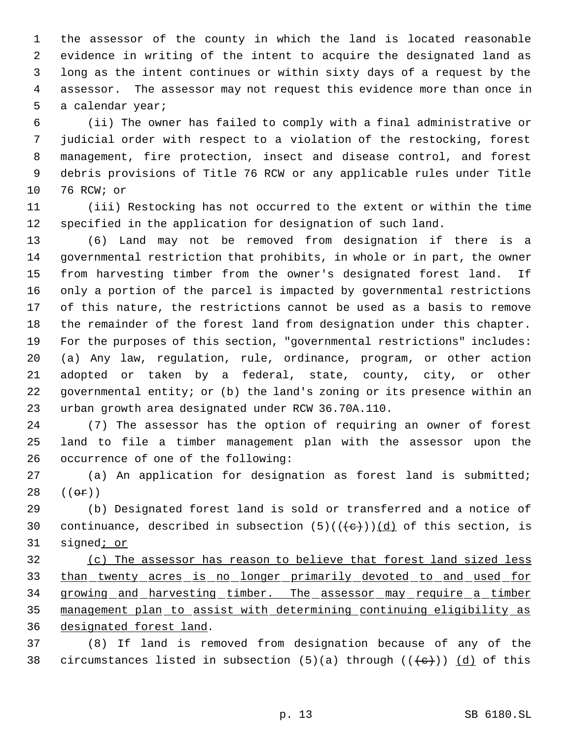the assessor of the county in which the land is located reasonable evidence in writing of the intent to acquire the designated land as long as the intent continues or within sixty days of a request by the assessor. The assessor may not request this evidence more than once in a calendar year;

 (ii) The owner has failed to comply with a final administrative or judicial order with respect to a violation of the restocking, forest management, fire protection, insect and disease control, and forest debris provisions of Title 76 RCW or any applicable rules under Title 76 RCW; or

 (iii) Restocking has not occurred to the extent or within the time specified in the application for designation of such land.

 (6) Land may not be removed from designation if there is a governmental restriction that prohibits, in whole or in part, the owner from harvesting timber from the owner's designated forest land. If only a portion of the parcel is impacted by governmental restrictions of this nature, the restrictions cannot be used as a basis to remove the remainder of the forest land from designation under this chapter. For the purposes of this section, "governmental restrictions" includes: (a) Any law, regulation, rule, ordinance, program, or other action adopted or taken by a federal, state, county, city, or other governmental entity; or (b) the land's zoning or its presence within an urban growth area designated under RCW 36.70A.110.

 (7) The assessor has the option of requiring an owner of forest land to file a timber management plan with the assessor upon the occurrence of one of the following:

 (a) An application for designation as forest land is submitted;  $((e^{\pi})^{\circ})$ 

 (b) Designated forest land is sold or transferred and a notice of 30 continuance, described in subsection  $(5)((\{e\}))$  $(d)$  of this section, is 31 signed<sub>*i* or</sub>

 (c) The assessor has reason to believe that forest land sized less than twenty acres is no longer primarily devoted to and used for 34 growing and harvesting timber. The assessor may require a timber management plan to assist with determining continuing eligibility as designated forest land.

 (8) If land is removed from designation because of any of the 38 circumstances listed in subsection  $(5)(a)$  through  $((e+))$   $(d)$  of this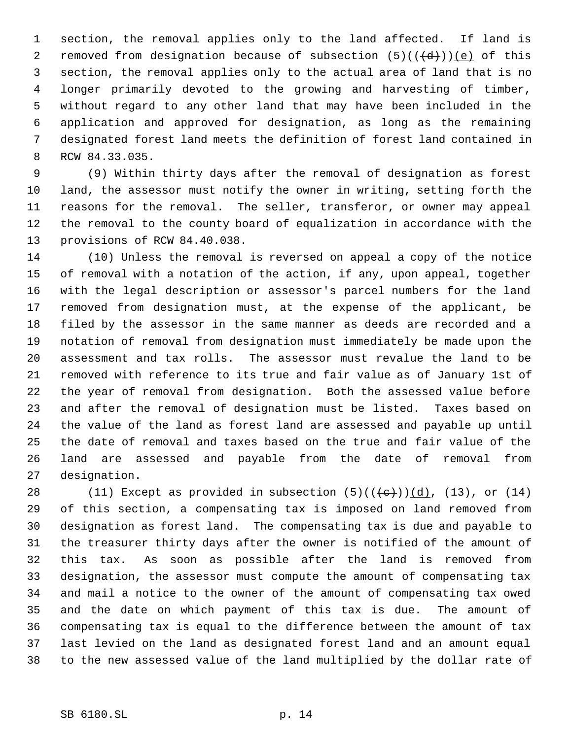section, the removal applies only to the land affected. If land is 2 removed from designation because of subsection  $(5)((\{d\}))$  (e) of this section, the removal applies only to the actual area of land that is no longer primarily devoted to the growing and harvesting of timber, without regard to any other land that may have been included in the application and approved for designation, as long as the remaining designated forest land meets the definition of forest land contained in RCW 84.33.035.

 (9) Within thirty days after the removal of designation as forest land, the assessor must notify the owner in writing, setting forth the reasons for the removal. The seller, transferor, or owner may appeal the removal to the county board of equalization in accordance with the provisions of RCW 84.40.038.

 (10) Unless the removal is reversed on appeal a copy of the notice of removal with a notation of the action, if any, upon appeal, together with the legal description or assessor's parcel numbers for the land removed from designation must, at the expense of the applicant, be filed by the assessor in the same manner as deeds are recorded and a notation of removal from designation must immediately be made upon the assessment and tax rolls. The assessor must revalue the land to be removed with reference to its true and fair value as of January 1st of the year of removal from designation. Both the assessed value before and after the removal of designation must be listed. Taxes based on the value of the land as forest land are assessed and payable up until the date of removal and taxes based on the true and fair value of the land are assessed and payable from the date of removal from designation.

28 (11) Except as provided in subsection  $(5)((\{e\}))(d)$ ,  $(13)$ , or  $(14)$  of this section, a compensating tax is imposed on land removed from designation as forest land. The compensating tax is due and payable to the treasurer thirty days after the owner is notified of the amount of this tax. As soon as possible after the land is removed from designation, the assessor must compute the amount of compensating tax and mail a notice to the owner of the amount of compensating tax owed and the date on which payment of this tax is due. The amount of compensating tax is equal to the difference between the amount of tax last levied on the land as designated forest land and an amount equal to the new assessed value of the land multiplied by the dollar rate of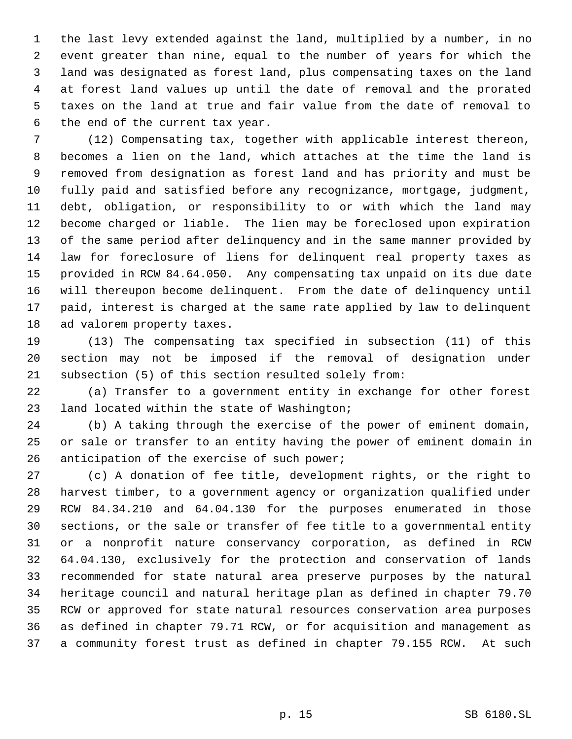the last levy extended against the land, multiplied by a number, in no event greater than nine, equal to the number of years for which the land was designated as forest land, plus compensating taxes on the land at forest land values up until the date of removal and the prorated taxes on the land at true and fair value from the date of removal to the end of the current tax year.

 (12) Compensating tax, together with applicable interest thereon, becomes a lien on the land, which attaches at the time the land is removed from designation as forest land and has priority and must be fully paid and satisfied before any recognizance, mortgage, judgment, debt, obligation, or responsibility to or with which the land may become charged or liable. The lien may be foreclosed upon expiration of the same period after delinquency and in the same manner provided by law for foreclosure of liens for delinquent real property taxes as provided in RCW 84.64.050. Any compensating tax unpaid on its due date will thereupon become delinquent. From the date of delinquency until paid, interest is charged at the same rate applied by law to delinquent ad valorem property taxes.

 (13) The compensating tax specified in subsection (11) of this section may not be imposed if the removal of designation under subsection (5) of this section resulted solely from:

 (a) Transfer to a government entity in exchange for other forest land located within the state of Washington;

 (b) A taking through the exercise of the power of eminent domain, or sale or transfer to an entity having the power of eminent domain in anticipation of the exercise of such power;

 (c) A donation of fee title, development rights, or the right to harvest timber, to a government agency or organization qualified under RCW 84.34.210 and 64.04.130 for the purposes enumerated in those sections, or the sale or transfer of fee title to a governmental entity or a nonprofit nature conservancy corporation, as defined in RCW 64.04.130, exclusively for the protection and conservation of lands recommended for state natural area preserve purposes by the natural heritage council and natural heritage plan as defined in chapter 79.70 RCW or approved for state natural resources conservation area purposes as defined in chapter 79.71 RCW, or for acquisition and management as a community forest trust as defined in chapter 79.155 RCW. At such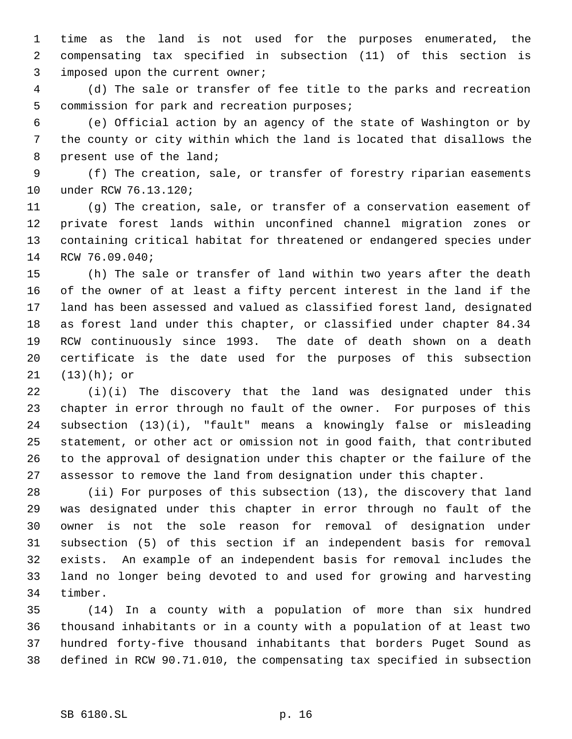time as the land is not used for the purposes enumerated, the compensating tax specified in subsection (11) of this section is imposed upon the current owner;

 (d) The sale or transfer of fee title to the parks and recreation commission for park and recreation purposes;

 (e) Official action by an agency of the state of Washington or by the county or city within which the land is located that disallows the present use of the land;

 (f) The creation, sale, or transfer of forestry riparian easements under RCW 76.13.120;

 (g) The creation, sale, or transfer of a conservation easement of private forest lands within unconfined channel migration zones or containing critical habitat for threatened or endangered species under RCW 76.09.040;

 (h) The sale or transfer of land within two years after the death of the owner of at least a fifty percent interest in the land if the land has been assessed and valued as classified forest land, designated as forest land under this chapter, or classified under chapter 84.34 RCW continuously since 1993. The date of death shown on a death certificate is the date used for the purposes of this subsection (13)(h); or

 (i)(i) The discovery that the land was designated under this chapter in error through no fault of the owner. For purposes of this subsection (13)(i), "fault" means a knowingly false or misleading statement, or other act or omission not in good faith, that contributed to the approval of designation under this chapter or the failure of the assessor to remove the land from designation under this chapter.

 (ii) For purposes of this subsection (13), the discovery that land was designated under this chapter in error through no fault of the owner is not the sole reason for removal of designation under subsection (5) of this section if an independent basis for removal exists. An example of an independent basis for removal includes the land no longer being devoted to and used for growing and harvesting timber.

 (14) In a county with a population of more than six hundred thousand inhabitants or in a county with a population of at least two hundred forty-five thousand inhabitants that borders Puget Sound as defined in RCW 90.71.010, the compensating tax specified in subsection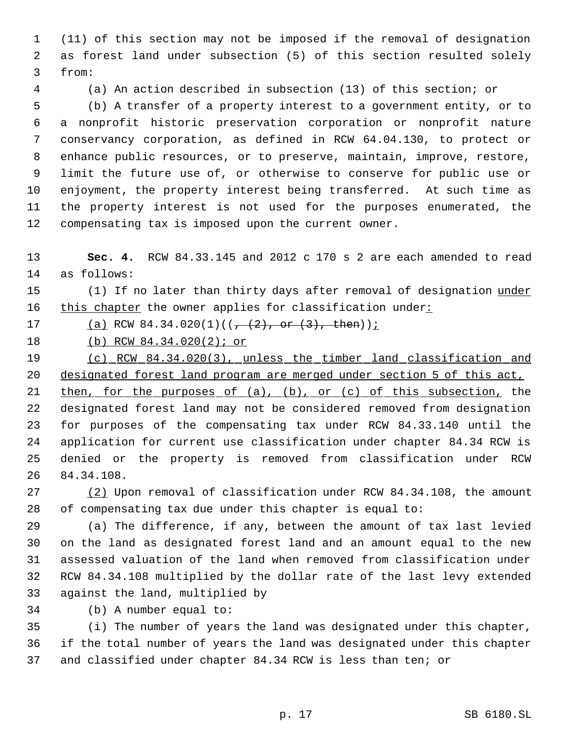(11) of this section may not be imposed if the removal of designation as forest land under subsection (5) of this section resulted solely from:

(a) An action described in subsection (13) of this section; or

 (b) A transfer of a property interest to a government entity, or to a nonprofit historic preservation corporation or nonprofit nature conservancy corporation, as defined in RCW 64.04.130, to protect or enhance public resources, or to preserve, maintain, improve, restore, limit the future use of, or otherwise to conserve for public use or enjoyment, the property interest being transferred. At such time as the property interest is not used for the purposes enumerated, the compensating tax is imposed upon the current owner.

 **Sec. 4.** RCW 84.33.145 and 2012 c 170 s 2 are each amended to read as follows:

15 (1) If no later than thirty days after removal of designation under 16 this chapter the owner applies for classification under:

17 (a) RCW  $84.34.020(1)((\frac{1}{7} + (2), \text{ or } (3), \text{ then}))$ ;

(b) RCW 84.34.020(2); or

 (c) RCW 84.34.020(3), unless the timber land classification and designated forest land program are merged under section 5 of this act,

21 then, for the purposes of (a), (b), or (c) of this subsection, the designated forest land may not be considered removed from designation for purposes of the compensating tax under RCW 84.33.140 until the application for current use classification under chapter 84.34 RCW is denied or the property is removed from classification under RCW 84.34.108.

 (2) Upon removal of classification under RCW 84.34.108, the amount of compensating tax due under this chapter is equal to:

 (a) The difference, if any, between the amount of tax last levied on the land as designated forest land and an amount equal to the new assessed valuation of the land when removed from classification under RCW 84.34.108 multiplied by the dollar rate of the last levy extended against the land, multiplied by

(b) A number equal to:

 (i) The number of years the land was designated under this chapter, if the total number of years the land was designated under this chapter and classified under chapter 84.34 RCW is less than ten; or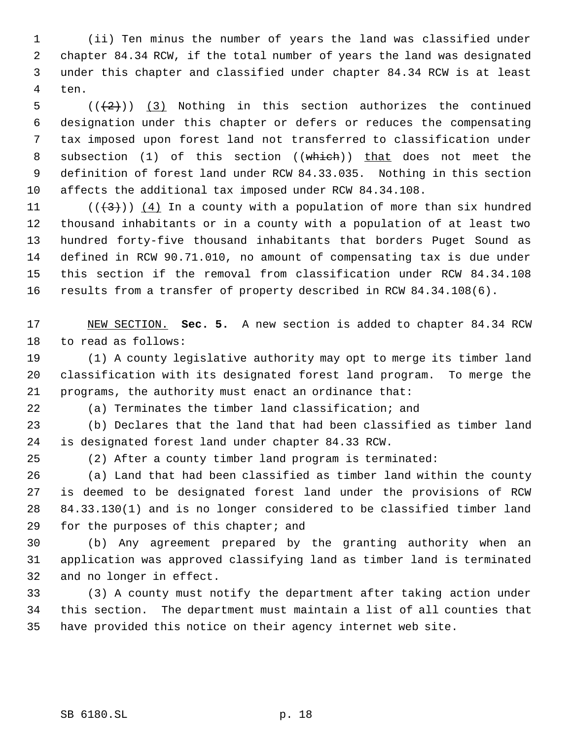(ii) Ten minus the number of years the land was classified under chapter 84.34 RCW, if the total number of years the land was designated under this chapter and classified under chapter 84.34 RCW is at least ten.

 $((+2))$   $(3)$  Nothing in this section authorizes the continued designation under this chapter or defers or reduces the compensating tax imposed upon forest land not transferred to classification under 8 subsection (1) of this section ((which)) that does not meet the definition of forest land under RCW 84.33.035. Nothing in this section affects the additional tax imposed under RCW 84.34.108.

11 ( $(\frac{43}{})$ ) (4) In a county with a population of more than six hundred thousand inhabitants or in a county with a population of at least two hundred forty-five thousand inhabitants that borders Puget Sound as defined in RCW 90.71.010, no amount of compensating tax is due under this section if the removal from classification under RCW 84.34.108 results from a transfer of property described in RCW 84.34.108(6).

 NEW SECTION. **Sec. 5.** A new section is added to chapter 84.34 RCW to read as follows:

 (1) A county legislative authority may opt to merge its timber land classification with its designated forest land program. To merge the programs, the authority must enact an ordinance that:

(a) Terminates the timber land classification; and

 (b) Declares that the land that had been classified as timber land is designated forest land under chapter 84.33 RCW.

(2) After a county timber land program is terminated:

 (a) Land that had been classified as timber land within the county is deemed to be designated forest land under the provisions of RCW 84.33.130(1) and is no longer considered to be classified timber land 29 for the purposes of this chapter; and

 (b) Any agreement prepared by the granting authority when an application was approved classifying land as timber land is terminated and no longer in effect.

 (3) A county must notify the department after taking action under this section. The department must maintain a list of all counties that have provided this notice on their agency internet web site.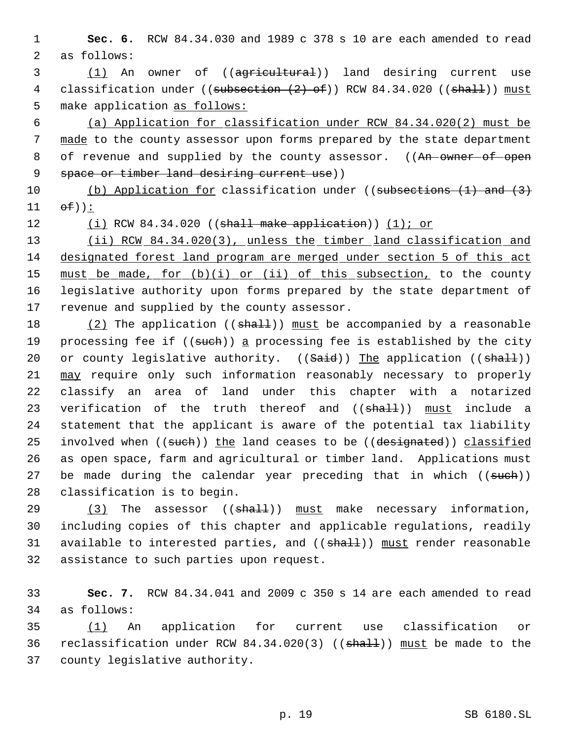1 **Sec. 6.** RCW 84.34.030 and 1989 c 378 s 10 are each amended to read 2 as follows:

3 (1) An owner of ((agricultural)) land desiring current use 4 classification under ((subsection (2) of)) RCW 84.34.020 ((shall)) must 5 make application as follows:

 6 (a) Application for classification under RCW 84.34.020(2) must be 7 made to the county assessor upon forms prepared by the state department 8 of revenue and supplied by the county assessor. ((An owner of open 9 space or timber land desiring current use))

10 (b) Application for classification under ((subsections (1) and (3)  $11$   $\Theta$  $\vdash$ )):

12 (i) RCW 84.34.020 ((shall make application)) (1); or

13 (ii) RCW 84.34.020(3), unless the timber land classification and 14 designated forest land program are merged under section 5 of this act 15 must be made, for (b)(i) or (ii) of this subsection, to the county 16 legislative authority upon forms prepared by the state department of 17 revenue and supplied by the county assessor.

18  $(2)$  The application (( $shall$ )) must be accompanied by a reasonable 19 processing fee if ((such)) a processing fee is established by the city 20 or county legislative authority.  $((Said))$  The application  $((shall))$ 21 may require only such information reasonably necessary to properly 22 classify an area of land under this chapter with a notarized 23 verification of the truth thereof and ((shall)) must include a 24 statement that the applicant is aware of the potential tax liability 25 involved when ((such)) the land ceases to be ((designated)) classified 26 as open space, farm and agricultural or timber land. Applications must 27 be made during the calendar year preceding that in which ((such)) 28 classification is to begin.

 $(3)$  The assessor  $((shath))$  must make necessary information, including copies of this chapter and applicable regulations, readily 31 available to interested parties, and ((shall)) must render reasonable assistance to such parties upon request.

33 **Sec. 7.** RCW 84.34.041 and 2009 c 350 s 14 are each amended to read 34 as follows:

35 (1) An application for current use classification or 36 reclassification under RCW 84.34.020(3) ((shall)) must be made to the 37 county legislative authority.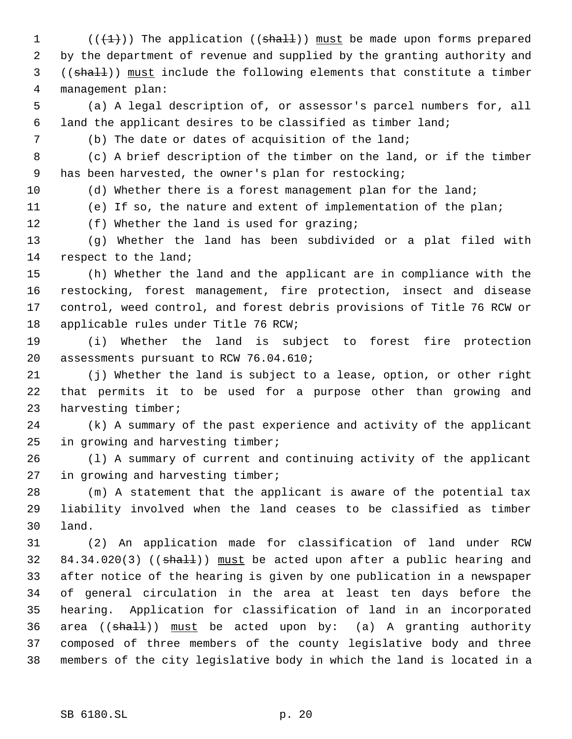$((+1))$  The application ((shall)) must be made upon forms prepared by the department of revenue and supplied by the granting authority and ((shall)) must include the following elements that constitute a timber management plan:

 (a) A legal description of, or assessor's parcel numbers for, all land the applicant desires to be classified as timber land;

(b) The date or dates of acquisition of the land;

 (c) A brief description of the timber on the land, or if the timber has been harvested, the owner's plan for restocking;

10 (d) Whether there is a forest management plan for the land;

(e) If so, the nature and extent of implementation of the plan;

12 (f) Whether the land is used for grazing;

 (g) Whether the land has been subdivided or a plat filed with respect to the land;

 (h) Whether the land and the applicant are in compliance with the restocking, forest management, fire protection, insect and disease control, weed control, and forest debris provisions of Title 76 RCW or applicable rules under Title 76 RCW;

 (i) Whether the land is subject to forest fire protection assessments pursuant to RCW 76.04.610;

 (j) Whether the land is subject to a lease, option, or other right that permits it to be used for a purpose other than growing and harvesting timber;

 (k) A summary of the past experience and activity of the applicant in growing and harvesting timber;

 (l) A summary of current and continuing activity of the applicant in growing and harvesting timber;

 (m) A statement that the applicant is aware of the potential tax liability involved when the land ceases to be classified as timber land.

 (2) An application made for classification of land under RCW 32 84.34.020(3) ((shall)) must be acted upon after a public hearing and after notice of the hearing is given by one publication in a newspaper of general circulation in the area at least ten days before the hearing. Application for classification of land in an incorporated 36 area  $((\text{shalt}))$  must be acted upon by: (a) A granting authority composed of three members of the county legislative body and three members of the city legislative body in which the land is located in a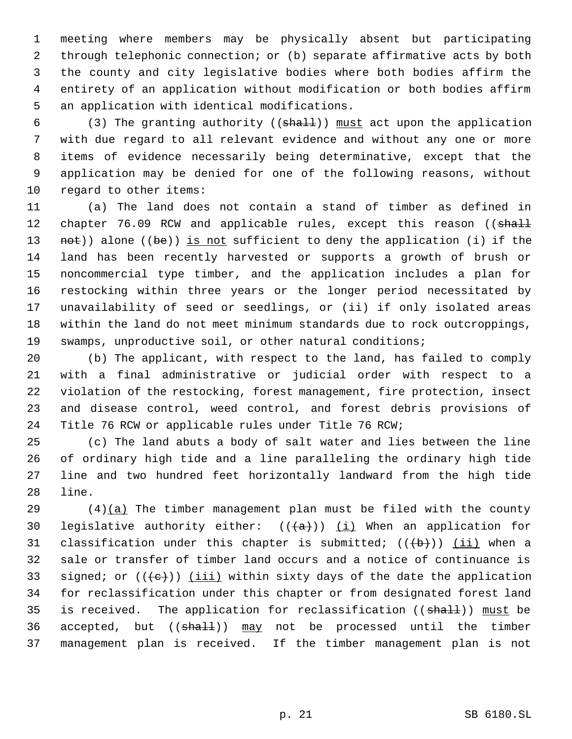meeting where members may be physically absent but participating through telephonic connection; or (b) separate affirmative acts by both the county and city legislative bodies where both bodies affirm the entirety of an application without modification or both bodies affirm an application with identical modifications.

6 (3) The granting authority ( $(\text{sha11})$ ) must act upon the application with due regard to all relevant evidence and without any one or more items of evidence necessarily being determinative, except that the application may be denied for one of the following reasons, without regard to other items:

 (a) The land does not contain a stand of timber as defined in 12 chapter 76.09 RCW and applicable rules, except this reason ((shall 13 not)) alone ((be)) is not sufficient to deny the application (i) if the land has been recently harvested or supports a growth of brush or noncommercial type timber, and the application includes a plan for restocking within three years or the longer period necessitated by unavailability of seed or seedlings, or (ii) if only isolated areas within the land do not meet minimum standards due to rock outcroppings, swamps, unproductive soil, or other natural conditions;

 (b) The applicant, with respect to the land, has failed to comply with a final administrative or judicial order with respect to a violation of the restocking, forest management, fire protection, insect and disease control, weed control, and forest debris provisions of Title 76 RCW or applicable rules under Title 76 RCW;

 (c) The land abuts a body of salt water and lies between the line of ordinary high tide and a line paralleling the ordinary high tide line and two hundred feet horizontally landward from the high tide line.

 (4)(a) The timber management plan must be filed with the county 30 legislative authority either:  $((+a))$   $(i)$  When an application for 31 classification under this chapter is submitted;  $((+b))$  (ii) when a sale or transfer of timber land occurs and a notice of continuance is 33 signed; or  $((e+))$  (iii) within sixty days of the date the application for reclassification under this chapter or from designated forest land 35 is received. The application for reclassification ((shall)) must be 36 accepted, but ((shall)) may not be processed until the timber management plan is received. If the timber management plan is not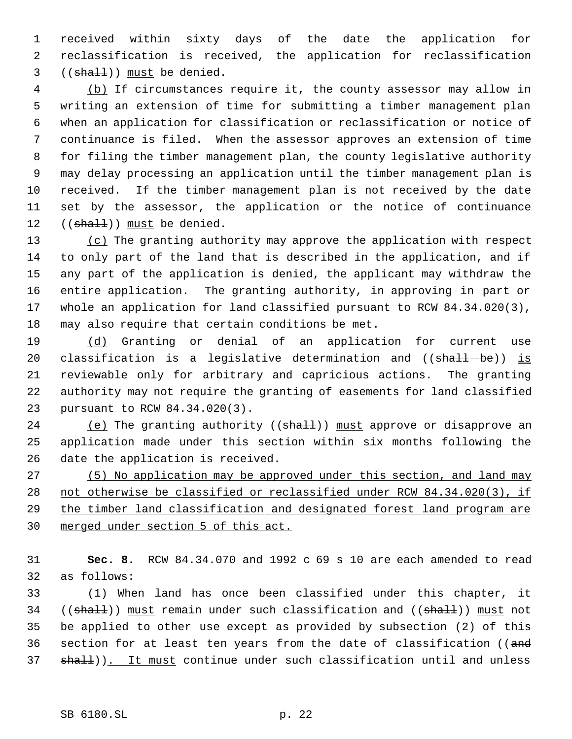received within sixty days of the date the application for reclassification is received, the application for reclassification (( $shall$ )) must be denied.

 (b) If circumstances require it, the county assessor may allow in writing an extension of time for submitting a timber management plan when an application for classification or reclassification or notice of continuance is filed. When the assessor approves an extension of time for filing the timber management plan, the county legislative authority may delay processing an application until the timber management plan is received. If the timber management plan is not received by the date set by the assessor, the application or the notice of continuance 12 ((shall)) must be denied.

13 (c) The granting authority may approve the application with respect to only part of the land that is described in the application, and if any part of the application is denied, the applicant may withdraw the entire application. The granting authority, in approving in part or whole an application for land classified pursuant to RCW 84.34.020(3), may also require that certain conditions be met.

19 (d) Granting or denial of an application for current use 20 classification is a legislative determination and  $((\text{shall}-\text{be}))$  is reviewable only for arbitrary and capricious actions. The granting authority may not require the granting of easements for land classified pursuant to RCW 84.34.020(3).

24 (e) The granting authority ((shall)) must approve or disapprove an application made under this section within six months following the date the application is received.

27 (5) No application may be approved under this section, and land may not otherwise be classified or reclassified under RCW 84.34.020(3), if 29 the timber land classification and designated forest land program are merged under section 5 of this act.

 **Sec. 8.** RCW 84.34.070 and 1992 c 69 s 10 are each amended to read as follows:

 (1) When land has once been classified under this chapter, it 34 ((shall)) must remain under such classification and ((shall)) must not be applied to other use except as provided by subsection (2) of this 36 section for at least ten years from the date of classification ((and 37 shall)). It must continue under such classification until and unless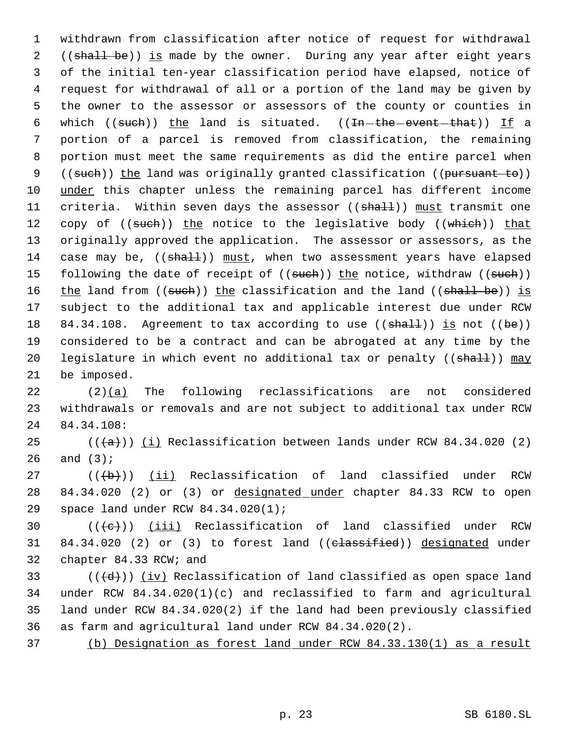1 withdrawn from classification after notice of request for withdrawal 2 ((shall be)) is made by the owner. During any year after eight years 3 of the initial ten-year classification period have elapsed, notice of 4 request for withdrawal of all or a portion of the land may be given by 5 the owner to the assessor or assessors of the county or counties in 6 which  $((such)$  the land is situated.  $((In-the-event-that))$  If a 7 portion of a parcel is removed from classification, the remaining 8 portion must meet the same requirements as did the entire parcel when 9 ((such)) the land was originally granted classification ((pursuant to)) 10 under this chapter unless the remaining parcel has different income 11 criteria. Within seven days the assessor ((shall)) must transmit one 12 copy of ((such)) the notice to the legislative body ((which)) that 13 originally approved the application. The assessor or assessors, as the 14 case may be, ((shall)) must, when two assessment years have elapsed 15 following the date of receipt of ((such)) the notice, withdraw ((such)) 16 the land from ((such)) the classification and the land ((shall be)) is 17 subject to the additional tax and applicable interest due under RCW 18 84.34.108. Agreement to tax according to use  $((shalt))$  is not  $((be))$ 19 considered to be a contract and can be abrogated at any time by the 20 legislature in which event no additional tax or penalty ((shall)) may 21 be imposed.

22 (2)(a) The following reclassifications are not considered 23 withdrawals or removals and are not subject to additional tax under RCW 24 84.34.108:

25  $((+a))$   $(i)$  Reclassification between lands under RCW 84.34.020 (2) 26 and (3);

27  $((\{b\})$   $(i)$  Reclassification of land classified under RCW 28 84.34.020 (2) or (3) or designated under chapter 84.33 RCW to open 29 space land under RCW 84.34.020(1);

30  $((\{e\})$   $(iii)$  Reclassification of land classified under RCW 31 84.34.020 (2) or (3) to forest land ((classified)) designated under 32 chapter 84.33 RCW; and

33 ( $(\overline{d})$ ) (iv) Reclassification of land classified as open space land under RCW 84.34.020(1)(c) and reclassified to farm and agricultural land under RCW 84.34.020(2) if the land had been previously classified as farm and agricultural land under RCW 84.34.020(2).

37 (b) Designation as forest land under RCW 84.33.130(1) as a result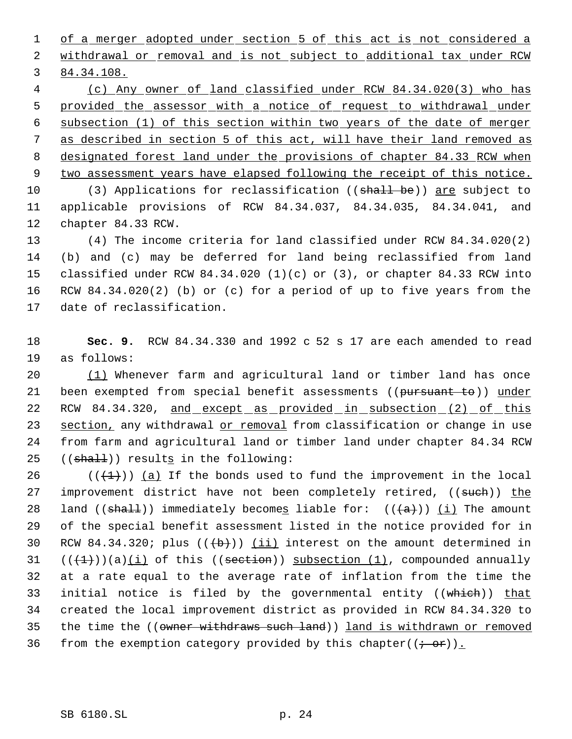1 of a merger adopted under section 5 of this act is not considered a 2 withdrawal or removal and is not subject to additional tax under RCW 3 84.34.108.

 (c) Any owner of land classified under RCW 84.34.020(3) who has 5 provided the assessor with a notice of request to withdrawal under subsection (1) of this section within two years of the date of merger as described in section 5 of this act, will have their land removed as 8 designated forest land under the provisions of chapter 84.33 RCW when two assessment years have elapsed following the receipt of this notice.

10 (3) Applications for reclassification ((shall be)) are subject to 11 applicable provisions of RCW 84.34.037, 84.34.035, 84.34.041, and 12 chapter 84.33 RCW.

 (4) The income criteria for land classified under RCW 84.34.020(2) (b) and (c) may be deferred for land being reclassified from land classified under RCW 84.34.020 (1)(c) or (3), or chapter 84.33 RCW into RCW 84.34.020(2) (b) or (c) for a period of up to five years from the date of reclassification.

18 **Sec. 9.** RCW 84.34.330 and 1992 c 52 s 17 are each amended to read 19 as follows:

20 (1) Whenever farm and agricultural land or timber land has once 21 been exempted from special benefit assessments ((pursuant to)) under 22 RCW 84.34.320, and except as provided in subsection (2) of this 23 section, any withdrawal or removal from classification or change in use 24 from farm and agricultural land or timber land under chapter 84.34 RCW  $25$  ((shall)) results in the following:

26 ( $(\frac{1}{1})$ ) (a) If the bonds used to fund the improvement in the local 27 improvement district have not been completely retired, ((such)) the 28 land (( $\frac{\text{shal}}{\text{immediately}}$  becomes liable for: ( $\frac{\text{at}}{\text{at}}$ )) (i) The amount 29 of the special benefit assessment listed in the notice provided for in 30 RCW 84.34.320; plus  $((+b))$   $(ii)$  interest on the amount determined in  $31$   $((+1))$ )(a)(i) of this ((section)) subsection (1), compounded annually 32 at a rate equal to the average rate of inflation from the time the 33 initial notice is filed by the governmental entity ((which)) that 34 created the local improvement district as provided in RCW 84.34.320 to 35 the time the ((owner withdraws such land)) land is withdrawn or removed 36 from the exemption category provided by this chapter( $(\div \text{ or})$ ).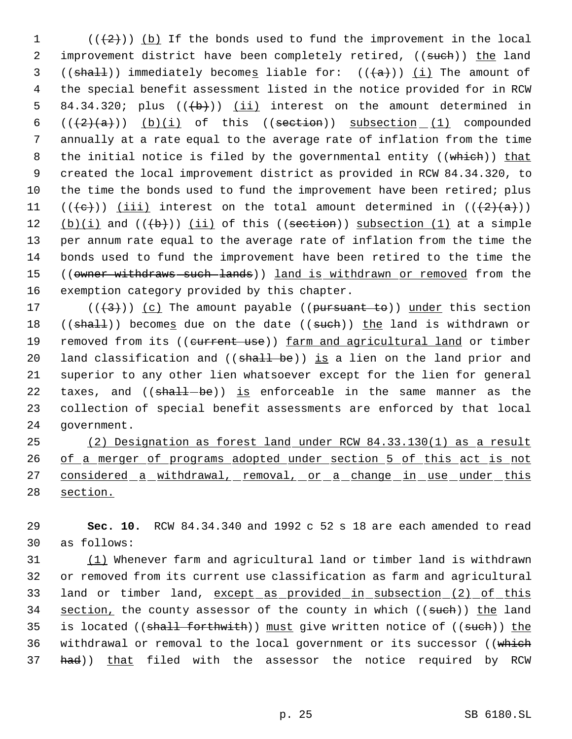$((+2))$  (b) If the bonds used to fund the improvement in the local 2 improvement district have been completely retired, ((such)) the land 3 (( $\frac{\text{shall}}{\text{immediately}}$ ) immediately becomes liable for: ( $\frac{\text{hall}}{\text{imult}}$ ) (i) The amount of the special benefit assessment listed in the notice provided for in RCW 5 84.34.320; plus  $((+b))$   $(ii)$  interest on the amount determined in  $((+2)(a))$   $(b)(i)$  of this  $((section_1 1)$  compounded annually at a rate equal to the average rate of inflation from the time 8 the initial notice is filed by the governmental entity ((which)) that created the local improvement district as provided in RCW 84.34.320, to the time the bonds used to fund the improvement have been retired; plus 11 (( $\text{(+e)}}$ )) <u>(iii)</u> interest on the total amount determined in ( $\text{(+2)}$  $\text{(a)}}$ ))  $(b)(i)$  and  $((\theta))^i$  (ii) of this  $((section)^i)$  subsection (1) at a simple per annum rate equal to the average rate of inflation from the time the bonds used to fund the improvement have been retired to the time the 15 ((owner withdraws such lands)) land is withdrawn or removed from the exemption category provided by this chapter.

17 ( $(\langle 3 \rangle)$ ) (c) The amount payable ((pursuant to)) under this section 18 ((shall)) becomes due on the date ((such)) the land is withdrawn or 19 removed from its ((current use)) farm and agricultural land or timber 20 land classification and ((shall be)) is a lien on the land prior and 21 superior to any other lien whatsoever except for the lien for general 22 taxes, and  $($  ( $shall-be)$ ) is enforceable in the same manner as the 23 collection of special benefit assessments are enforced by that local 24 government.

25 (2) Designation as forest land under RCW 84.33.130(1) as a result 26 of a merger of programs adopted under section 5 of this act is not 27 considered a withdrawal, removal, or a change in use under this 28 section.

29 **Sec. 10.** RCW 84.34.340 and 1992 c 52 s 18 are each amended to read 30 as follows:

31 (1) Whenever farm and agricultural land or timber land is withdrawn 32 or removed from its current use classification as farm and agricultural 33 land or timber land, except as provided in subsection (2) of this 34 section, the county assessor of the county in which ((such)) the land 35 is located (( $shall$  forthwith)) must give written notice of (( $sub$ h)) the 36 withdrawal or removal to the local government or its successor ((which 37 had)) that filed with the assessor the notice required by RCW